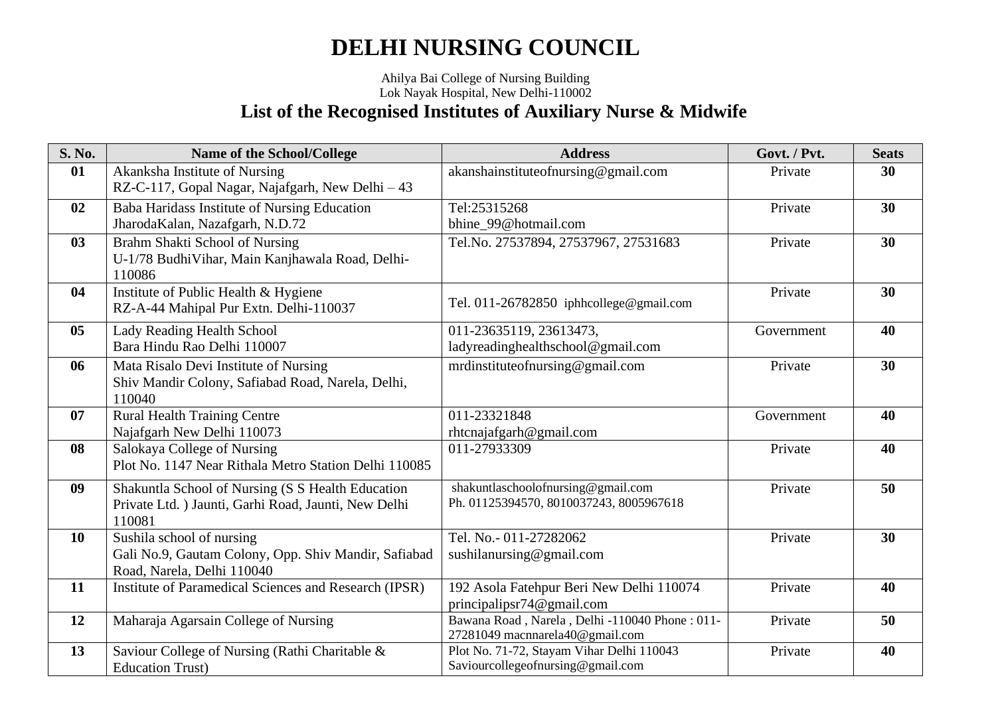#### Ahilya Bai College of Nursing Building Lok Nayak Hospital, New Delhi-110002 **List of the Recognised Institutes of Auxiliary Nurse & Midwife**

| <b>S. No.</b> | Name of the School/College                                                                                                | <b>Address</b>                                                                    | Govt. / Pvt. | <b>Seats</b> |
|---------------|---------------------------------------------------------------------------------------------------------------------------|-----------------------------------------------------------------------------------|--------------|--------------|
| 01            | Akanksha Institute of Nursing<br>RZ-C-117, Gopal Nagar, Najafgarh, New Delhi - 43                                         | akanshainstituteofnursing@gmail.com                                               | Private      | 30           |
| 02            | Baba Haridass Institute of Nursing Education<br>JharodaKalan, Nazafgarh, N.D.72                                           | Tel:25315268<br>bhine_99@hotmail.com                                              | Private      | 30           |
| 03            | Brahm Shakti School of Nursing<br>U-1/78 BudhiVihar, Main Kanjhawala Road, Delhi-<br>110086                               | Tel.No. 27537894, 27537967, 27531683                                              | Private      | 30           |
| 04            | Institute of Public Health & Hygiene<br>Tel. 011-26782850 iphhcollege@gmail.com<br>RZ-A-44 Mahipal Pur Extn. Delhi-110037 |                                                                                   | Private      | 30           |
| 05            | Lady Reading Health School<br>Bara Hindu Rao Delhi 110007                                                                 | 011-23635119, 23613473,<br>ladyreadinghealthschool@gmail.com                      | Government   | 40           |
| 06            | Mata Risalo Devi Institute of Nursing<br>Shiv Mandir Colony, Safiabad Road, Narela, Delhi,<br>110040                      | mrdinstitute of nursing @ gmail.com                                               | Private      | 30           |
| 07            | <b>Rural Health Training Centre</b><br>Najafgarh New Delhi 110073                                                         | 011-23321848<br>rhtcnajafgarh@gmail.com                                           | Government   | 40           |
| 08            | Salokaya College of Nursing<br>Plot No. 1147 Near Rithala Metro Station Delhi 110085                                      | 011-27933309                                                                      | Private      | 40           |
| 09            | Shakuntla School of Nursing (S S Health Education<br>Private Ltd. ) Jaunti, Garhi Road, Jaunti, New Delhi<br>110081       | shakuntlaschoolofnursing@gmail.com<br>Ph. 01125394570, 8010037243, 8005967618     | Private      | 50           |
| 10            | Sushila school of nursing<br>Gali No.9, Gautam Colony, Opp. Shiv Mandir, Safiabad<br>Road, Narela, Delhi 110040           | Tel. No.- 011-27282062<br>sushilanursing@gmail.com                                | Private      | 30           |
| 11            | Institute of Paramedical Sciences and Research (IPSR)                                                                     | 192 Asola Fatehpur Beri New Delhi 110074<br>principalipsr74@gmail.com             | Private      | 40           |
| 12            | Maharaja Agarsain College of Nursing                                                                                      | Bawana Road, Narela, Delhi -110040 Phone: 011-<br>27281049 macnnarela40@gmail.com | Private      | 50           |
| 13            | Saviour College of Nursing (Rathi Charitable &<br><b>Education Trust</b> )                                                | Plot No. 71-72, Stayam Vihar Delhi 110043<br>Saviourcollegeofnursing@gmail.com    | Private      | 40           |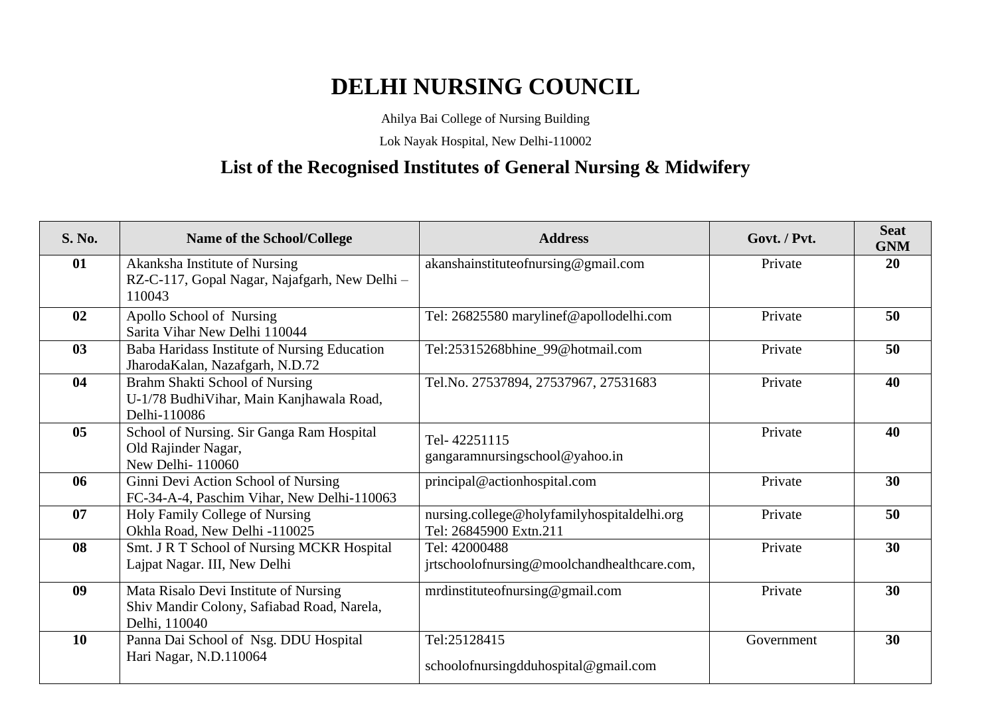Ahilya Bai College of Nursing Building

Lok Nayak Hospital, New Delhi-110002

### **List of the Recognised Institutes of General Nursing & Midwifery**

| <b>S. No.</b> | Name of the School/College                                                                                          | <b>Address</b>                                                        | Govt. / Pvt. | <b>Seat</b><br><b>GNM</b> |
|---------------|---------------------------------------------------------------------------------------------------------------------|-----------------------------------------------------------------------|--------------|---------------------------|
| 01            | Akanksha Institute of Nursing<br>RZ-C-117, Gopal Nagar, Najafgarh, New Delhi -<br>110043                            | akanshainstituteofnursing@gmail.com                                   | Private      | 20                        |
| 02            | Apollo School of Nursing<br>Sarita Vihar New Delhi 110044                                                           | Tel: 26825580 marylinef@apollodelhi.com                               | Private      | 50                        |
| 03            | Baba Haridass Institute of Nursing Education<br>Tel:25315268bhine_99@hotmail.com<br>JharodaKalan, Nazafgarh, N.D.72 |                                                                       | Private      | 50                        |
| 04            | Brahm Shakti School of Nursing<br>U-1/78 BudhiVihar, Main Kanjhawala Road,<br>Delhi-110086                          | Tel.No. 27537894, 27537967, 27531683                                  | Private      | 40                        |
| 05            | School of Nursing. Sir Ganga Ram Hospital<br>Old Rajinder Nagar,<br>New Delhi-110060                                | Tel-42251115<br>gangaramnursingschool@yahoo.in                        | Private      | 40                        |
| 06            | Ginni Devi Action School of Nursing<br>FC-34-A-4, Paschim Vihar, New Delhi-110063                                   | principal@actionhospital.com                                          | Private      | 30                        |
| 07            | Holy Family College of Nursing<br>Okhla Road, New Delhi -110025                                                     | nursing.college@holyfamilyhospitaldelhi.org<br>Tel: 26845900 Extn.211 | Private      | 50                        |
| 08            | Smt. J R T School of Nursing MCKR Hospital<br>Lajpat Nagar. III, New Delhi                                          | Tel: 42000488<br>jrtschoolofnursing@moolchandhealthcare.com,          | Private      | 30                        |
| 09            | Mata Risalo Devi Institute of Nursing<br>Shiv Mandir Colony, Safiabad Road, Narela,<br>Delhi, 110040                | mrdinstituteofnursing@gmail.com                                       | Private      | 30                        |
| 10            | Panna Dai School of Nsg. DDU Hospital<br>Hari Nagar, N.D.110064                                                     | Tel:25128415<br>schoolofnursingdduhospital@gmail.com                  | Government   | 30                        |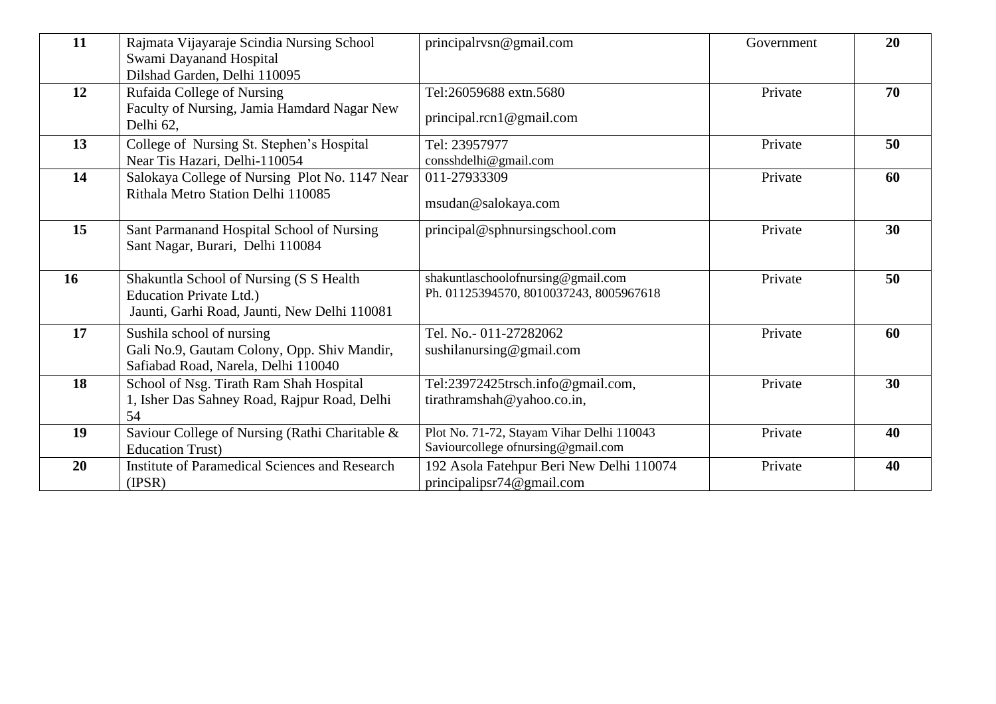| 11        | Rajmata Vijayaraje Scindia Nursing School<br>Swami Dayanand Hospital<br>Dilshad Garden, Delhi 110095               | principalrysn@gmail.com                                                          | Government | 20 |
|-----------|--------------------------------------------------------------------------------------------------------------------|----------------------------------------------------------------------------------|------------|----|
| 12        | Rufaida College of Nursing<br>Faculty of Nursing, Jamia Hamdard Nagar New<br>Delhi 62,                             | Tel:26059688 extn.5680<br>principal.rcn1@gmail.com                               | Private    | 70 |
| 13        | College of Nursing St. Stephen's Hospital<br>Near Tis Hazari, Delhi-110054                                         | Tel: 23957977<br>consshdelhi@gmail.com                                           | Private    | 50 |
| 14        | Salokaya College of Nursing Plot No. 1147 Near<br>Rithala Metro Station Delhi 110085                               | 011-27933309<br>msudan@salokaya.com                                              | Private    | 60 |
| 15        | Sant Parmanand Hospital School of Nursing<br>Sant Nagar, Burari, Delhi 110084                                      | principal@sphnursingschool.com                                                   | Private    | 30 |
| <b>16</b> | Shakuntla School of Nursing (S S Health<br>Education Private Ltd.)<br>Jaunti, Garhi Road, Jaunti, New Delhi 110081 | shakuntlaschoolofnursing@gmail.com<br>Ph. 01125394570, 8010037243, 8005967618    | Private    | 50 |
| 17        | Sushila school of nursing<br>Gali No.9, Gautam Colony, Opp. Shiv Mandir,<br>Safiabad Road, Narela, Delhi 110040    | Tel. No.- 011-27282062<br>sushilanursing@gmail.com                               | Private    | 60 |
| 18        | School of Nsg. Tirath Ram Shah Hospital<br>1, Isher Das Sahney Road, Rajpur Road, Delhi<br>54                      | Tel:23972425trsch.info@gmail.com,<br>tirathramshah@yahoo.co.in,                  | Private    | 30 |
| 19        | Saviour College of Nursing (Rathi Charitable &<br><b>Education Trust</b> )                                         | Plot No. 71-72, Stayam Vihar Delhi 110043<br>Saviourcollege of nursing@gmail.com | Private    | 40 |
| 20        | <b>Institute of Paramedical Sciences and Research</b><br>(IPSR)                                                    | 192 Asola Fatehpur Beri New Delhi 110074<br>principalipsr $74@$ gmail.com        | Private    | 40 |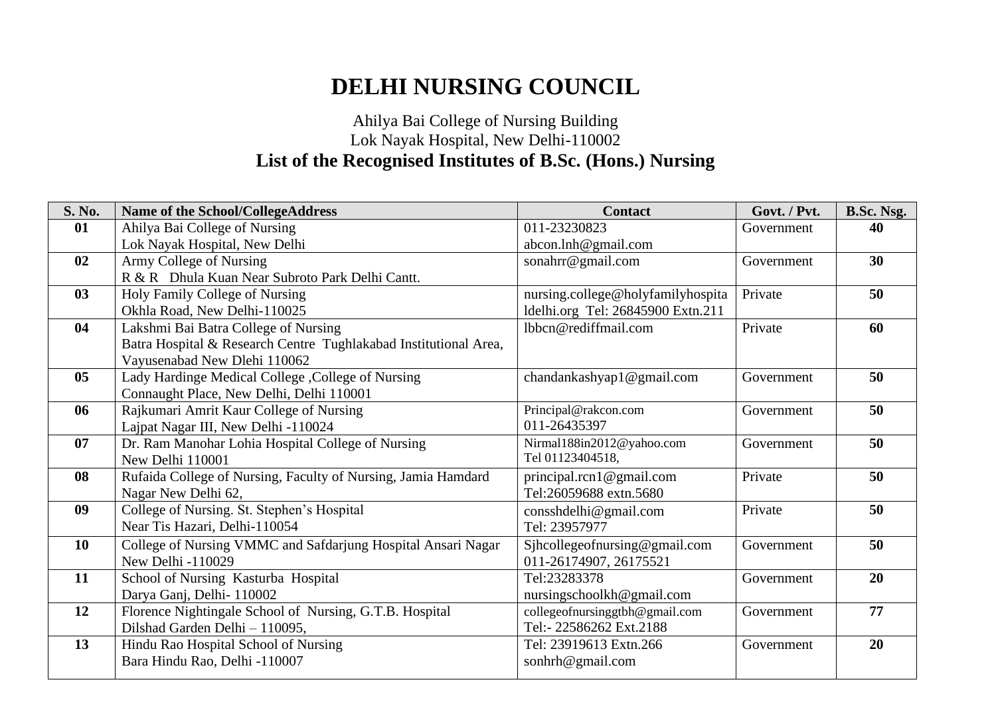### Ahilya Bai College of Nursing Building Lok Nayak Hospital, New Delhi-110002 **List of the Recognised Institutes of B.Sc. (Hons.) Nursing**

| S. No.         | <b>Name of the School/CollegeAddress</b>                         | <b>Contact</b>                    | Govt. / Pvt. | <b>B.Sc. Nsg.</b> |
|----------------|------------------------------------------------------------------|-----------------------------------|--------------|-------------------|
| 01             | Ahilya Bai College of Nursing                                    | 011-23230823                      | Government   | 40                |
|                | Lok Nayak Hospital, New Delhi                                    | abcon.lnh@gmail.com               |              |                   |
| 02             | Army College of Nursing                                          | sonahrr@gmail.com                 | Government   | 30                |
|                | R & R Dhula Kuan Near Subroto Park Delhi Cantt.                  |                                   |              |                   |
| 03             | Holy Family College of Nursing                                   | nursing.college@holyfamilyhospita | Private      | 50                |
|                | Okhla Road, New Delhi-110025                                     | ldelhi.org Tel: 26845900 Extn.211 |              |                   |
| 04             | Lakshmi Bai Batra College of Nursing                             | lbbcn@rediffmail.com              | Private      | 60                |
|                | Batra Hospital & Research Centre Tughlakabad Institutional Area, |                                   |              |                   |
|                | Vayusenabad New Dlehi 110062                                     |                                   |              |                   |
| 0 <sub>5</sub> | Lady Hardinge Medical College , College of Nursing               | chandankashyap1@gmail.com         | Government   | 50                |
|                | Connaught Place, New Delhi, Delhi 110001                         |                                   |              |                   |
| 06             | Rajkumari Amrit Kaur College of Nursing                          | Principal@rakcon.com              | Government   | 50                |
|                | Lajpat Nagar III, New Delhi -110024                              | 011-26435397                      |              |                   |
| 07             | Dr. Ram Manohar Lohia Hospital College of Nursing                | Nirmal188in2012@yahoo.com         | Government   | 50                |
|                | New Delhi 110001                                                 | Tel 01123404518,                  |              |                   |
| 08             | Rufaida College of Nursing, Faculty of Nursing, Jamia Hamdard    | principal.rcn1@gmail.com          | Private      | 50                |
|                | Nagar New Delhi 62,                                              | Tel:26059688 extn.5680            |              |                   |
| 09             | College of Nursing. St. Stephen's Hospital                       | consshdelhi@gmail.com             | Private      | 50                |
|                | Near Tis Hazari, Delhi-110054                                    | Tel: 23957977                     |              |                   |
| 10             | College of Nursing VMMC and Safdarjung Hospital Ansari Nagar     | Sjhcollegeofnursing@gmail.com     | Government   | 50                |
|                | New Delhi -110029                                                | 011-26174907, 26175521            |              |                   |
| 11             | School of Nursing Kasturba Hospital                              | Tel:23283378                      | Government   | 20                |
|                | Darya Ganj, Delhi-110002                                         | nursingschoolkh@gmail.com         |              |                   |
| 12             | Florence Nightingale School of Nursing, G.T.B. Hospital          | collegeofnursinggtbh@gmail.com    | Government   | 77                |
|                | Dilshad Garden Delhi - 110095,                                   | Tel:- 22586262 Ext.2188           |              |                   |
| 13             | Hindu Rao Hospital School of Nursing                             | Tel: 23919613 Extn.266            | Government   | 20                |
|                | Bara Hindu Rao, Delhi -110007                                    | sonhrh@gmail.com                  |              |                   |
|                |                                                                  |                                   |              |                   |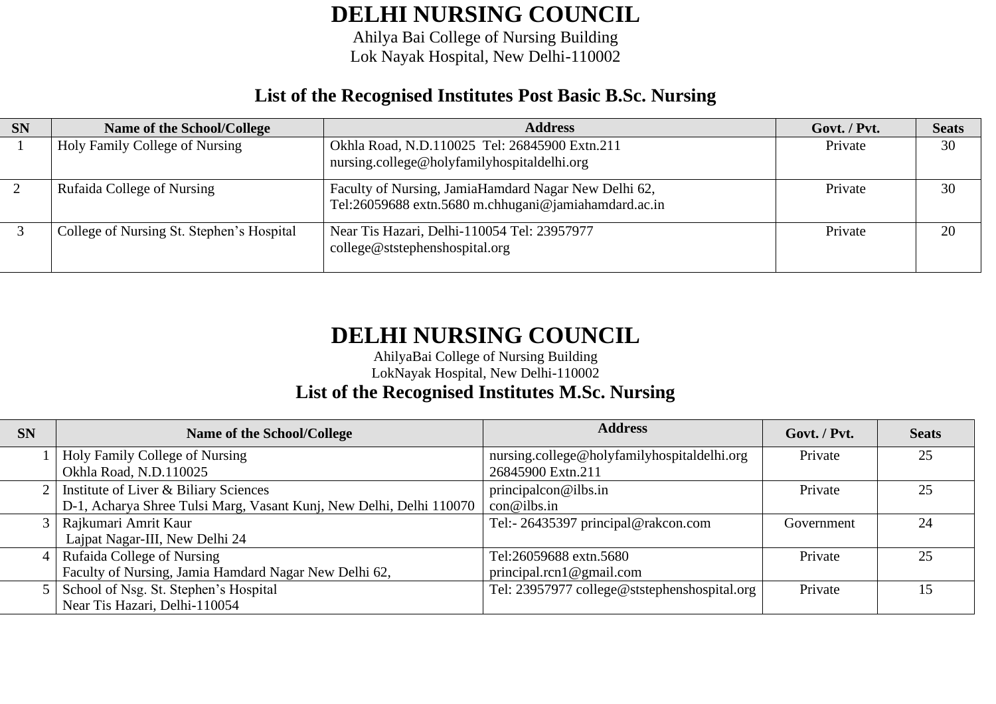Ahilya Bai College of Nursing Building Lok Nayak Hospital, New Delhi-110002

### **List of the Recognised Institutes Post Basic B.Sc. Nursing**

| <b>SN</b> | Name of the School/College                | <b>Address</b>                                                                                               | Govt. / Pvt. | <b>Seats</b> |
|-----------|-------------------------------------------|--------------------------------------------------------------------------------------------------------------|--------------|--------------|
|           | Holy Family College of Nursing            | Okhla Road, N.D.110025 Tel: 26845900 Extn.211<br>nursing.college@holyfamilyhospitaldelhi.org                 | Private      | 30           |
|           | Rufaida College of Nursing                | Faculty of Nursing, JamiaHamdard Nagar New Delhi 62,<br>Tel:26059688 extn.5680 m.chhugani@jamiahamdard.ac.in | Private      | 30           |
|           | College of Nursing St. Stephen's Hospital | Near Tis Hazari, Delhi-110054 Tel: 23957977<br>college@ststephenshospital.org                                | Private      | 20           |

# **DELHI NURSING COUNCIL**

AhilyaBai College of Nursing Building

LokNayak Hospital, New Delhi-110002

#### **List of the Recognised Institutes M.Sc. Nursing**

| <b>SN</b> | <b>Address</b><br>Name of the School/College                        |                                              | Govt. / Pvt. | <b>Seats</b> |
|-----------|---------------------------------------------------------------------|----------------------------------------------|--------------|--------------|
|           | Holy Family College of Nursing                                      | nursing.college@holyfamilyhospitaldelhi.org  | Private      | 25           |
|           | Okhla Road, N.D.110025                                              | 26845900 Extn.211                            |              |              |
|           | Institute of Liver & Biliary Sciences                               | principalcon@ilbs.in                         | Private      | 25           |
|           | D-1, Acharya Shree Tulsi Marg, Vasant Kunj, New Delhi, Delhi 110070 | con@ilbs.in                                  |              |              |
|           | Rajkumari Amrit Kaur                                                | Tel:- 26435397 principal@rakcon.com          | Government   | 24           |
|           | Lajpat Nagar-III, New Delhi 24                                      |                                              |              |              |
|           | <b>Rufaida College of Nursing</b>                                   | Tel:26059688 extn.5680                       | Private      | 25           |
|           | Faculty of Nursing, Jamia Hamdard Nagar New Delhi 62,               | principal.rcn1 $@$ gmail.com                 |              |              |
|           | School of Nsg. St. Stephen's Hospital                               | Tel: 23957977 college@ststephenshospital.org | Private      | 15           |
|           | Near Tis Hazari, Delhi-110054                                       |                                              |              |              |